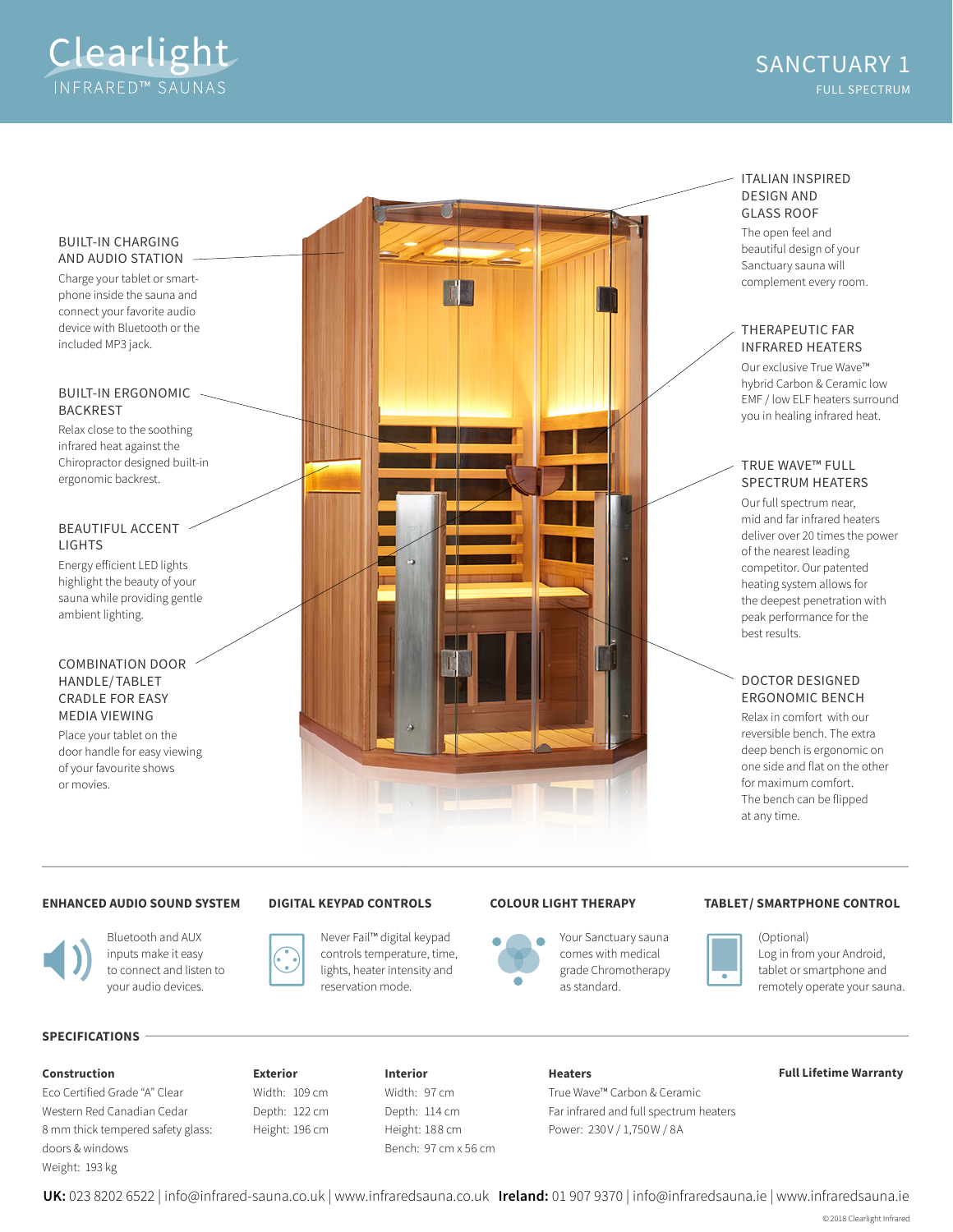

#### BUILT-IN CHARGING AND AUDIO STATION

Charge your tablet or smartphone inside the sauna and connect your favorite audio device with Bluetooth or the included MP3 jack.

#### BUILT-IN ERGONOMIC BACKREST

Relax close to the soothing infrared heat against the Chiropractor designed built-in ergonomic backrest.

# BEAUTIFUL ACCENT LIGHTS

Energy eficient LED lights highlight the beauty of your sauna while providing gentle ambient lighting.

## COMBINATION DOOR HANDLE/TABLET CRADLE FOR EASY MEDIA VIEWING

Place your tablet on the door handle for easy viewing of your favourite shows or movies.



# ITALIAN INSPIRED DESIGN AND GLASS ROOF

The open feel and beautiful design of your Sanctuary sauna will complement every room.

## THERAPEUTIC FAR INFRARED HEATERS

Our exclusive True Wave™ hybrid Carbon & Ceramic low EMF / low ELF heaters surround you in healing infrared heat.

# TRUE WAVE™ FULL SPECTRUM HEATERS

Our full spectrum near, mid and far infrared heaters deliver over 20 times the power of the nearest leading competitor. Our patented heating system allows for the deepest penetration with peak performance for the best results.

# DOCTOR DESIGNED ERGONOMIC BENCH

Relax in comfort with our reversible bench. The extra deep bench is ergonomic on one side and flat on the other for maximum comfort. The bench can be flipped at any time.

### **ENHANCED AUDIO SOUND SYSTEM**



Bluetooth and AUX inputs make it easy to connect and listen to your audio devices.

# **DIGITAL KEYPAD CONTROLS**

Never Fail™ digital keypad controls temperature, time, lights, heater intensity and reservation mode.



Your Sanctuary sauna comes with medical grade Chromotherapy as standard.

### **COLOUR LIGHT THERAPY TABLET/ SMARTPHONE CONTROL**



(Optional) Log in from your Android, tablet or smartphone and remotely operate your sauna.

# **SPECIFICATIONS**

Eco Certified Grade "A" Clear Western Red Canadian Cedar 8 mm thick tempered safety glass: doors & windows Weight: 193 kg

## **Exterior** Width: 109 cm Depth: 122 cm Height: 196 cm

**Interior** Width: 97 cm Depth: 114 cm Height: 188 cm Bench: 97 cm x 56 cm

**Construction Full Lifetime Warranty Heaters** True Wave™ Carbon & Ceramic Far infrared and full spectrum heaters Power: 230V / 1,750 W / 8A

**UK:** 023 8202 6522 | info@infrared-sauna.co.uk | www.infraredsauna.co.uk **Ireland:** 01 907 9370 | info@infraredsauna.ie | www.infraredsauna.ie

© 2018 Clearlight Infrared